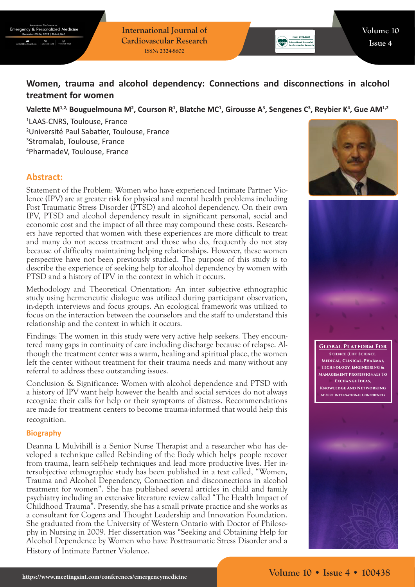$\begin{array}{|c|c|c|}\n\hline\n\text{45.31581626} & \text{+65.31581626}\n\end{array}$ 

**International Journal of Cardiovascular Research ISSN: 2324-8602**

# **Women, trauma and alcohol dependency: Connections and disconnections in alcohol treatment for women**

### Valette M<sup>1,2,</sup> Bouguelmouna M<sup>2</sup>, Courson R<sup>1</sup>, Blatche MC<sup>1</sup>, Girousse A<sup>3</sup>, Sengenes C<sup>3</sup>, Reybier K<sup>4</sup>, Gue AM<sup>1,2</sup>

 LAAS-CNRS, Toulouse, France Université Paul Sabatier, Toulouse, France Stromalab, Toulouse, France PharmadeV, Toulouse, France

## **Abstract:**

Statement of the Problem: Women who have experienced Intimate Partner Violence (IPV) are at greater risk for physical and mental health problems including Post Traumatic Stress Disorder (PTSD) and alcohol dependency. On their own IPV, PTSD and alcohol dependency result in significant personal, social and economic cost and the impact of all three may compound these costs. Researchers have reported that women with these experiences are more difficult to treat and many do not access treatment and those who do, frequently do not stay because of difficulty maintaining helping relationships. However, these women perspective have not been previously studied. The purpose of this study is to describe the experience of seeking help for alcohol dependency by women with PTSD and a history of IPV in the context in which it occurs.

Methodology and Theoretical Orientation: An inter subjective ethnographic study using hermeneutic dialogue was utilized during participant observation, in-depth interviews and focus groups. An ecological framework was utilized to focus on the interaction between the counselors and the staff to understand this relationship and the context in which it occurs.

Findings: The women in this study were very active help seekers. They encountered many gaps in continuity of care including discharge because of relapse. Although the treatment center was a warm, healing and spiritual place, the women left the center without treatment for their trauma needs and many without any referral to address these outstanding issues.

Conclusion & Significance: Women with alcohol dependence and PTSD with a history of IPV want help however the health and social services do not always recognize their calls for help or their symptoms of distress. Recommendations are made for treatment centers to become trauma-informed that would help this recognition.

#### **Biography**

Deanna L Mulvihill is a Senior Nurse Therapist and a researcher who has developed a technique called Rebinding of the Body which helps people recover from trauma, learn self-help techniques and lead more productive lives. Her intersubjective ethnographic study has been published in a text called, "Women, Trauma and Alcohol Dependency, Connection and disconnections in alcohol treatment for women". She has published several articles in child and family psychiatry including an extensive literature review called "The Health Impact of Childhood Trauma". Presently, she has a small private practice and she works as a consultant for Cogenz and Thought Leadership and Innovation Foundation. She graduated from the University of Western Ontario with Doctor of Philosophy in Nursing in 2009. Her dissertation was "Seeking and Obtaining Help for Alcohol Dependence by Women who have Posttraumatic Stress Disorder and a History of Intimate Partner Violence.





**Global Platform For Science (Life Science, Medical, Clinical, Pharma), Technology, Engineering & Management Professionals To Exchange Ideas, Knowledge And Networking At 300+ International Conferences**